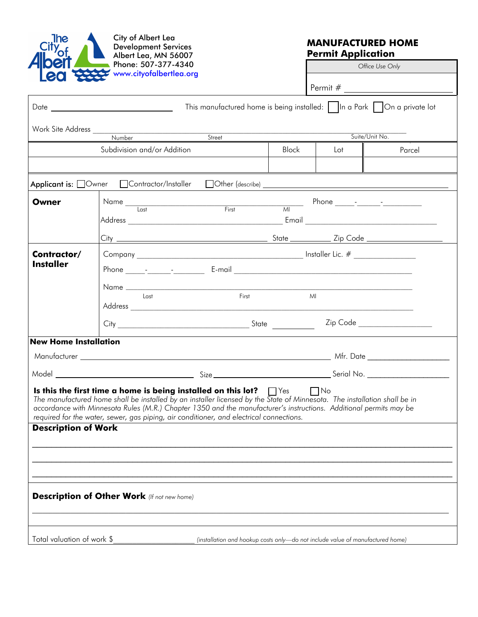

City of Albert Lea Development Services Albert Lea, MN 56007 Phone: 507-377-4340

## **MANUFACTURED HOME Permit Application**

*Office Use Only* 

| www.cityofalbertlea.org         |                                                                                                                                                                                                                                                                                                                                                                                                                                  |                                                                                                                                                                                                                                                                                                                                                                    |              |     |                |  |
|---------------------------------|----------------------------------------------------------------------------------------------------------------------------------------------------------------------------------------------------------------------------------------------------------------------------------------------------------------------------------------------------------------------------------------------------------------------------------|--------------------------------------------------------------------------------------------------------------------------------------------------------------------------------------------------------------------------------------------------------------------------------------------------------------------------------------------------------------------|--------------|-----|----------------|--|
| <b>Leo</b>                      |                                                                                                                                                                                                                                                                                                                                                                                                                                  |                                                                                                                                                                                                                                                                                                                                                                    |              |     |                |  |
|                                 | This manufactured home is being installed:             a Park         On a private lot                                                                                                                                                                                                                                                                                                                                           |                                                                                                                                                                                                                                                                                                                                                                    |              |     |                |  |
|                                 |                                                                                                                                                                                                                                                                                                                                                                                                                                  |                                                                                                                                                                                                                                                                                                                                                                    |              |     |                |  |
|                                 | Subdivision and/or Addition                                                                                                                                                                                                                                                                                                                                                                                                      | Street                                                                                                                                                                                                                                                                                                                                                             | <b>Block</b> | Lot | Suite/Unit No. |  |
|                                 |                                                                                                                                                                                                                                                                                                                                                                                                                                  |                                                                                                                                                                                                                                                                                                                                                                    |              |     | Parcel         |  |
|                                 | Applicant is: Owner Contractor/Installer                                                                                                                                                                                                                                                                                                                                                                                         |                                                                                                                                                                                                                                                                                                                                                                    |              |     |                |  |
| Owner                           |                                                                                                                                                                                                                                                                                                                                                                                                                                  | $\begin{picture}(150,10) \put(0,0){\vector(1,0){100}} \put(15,0){\vector(1,0){100}} \put(15,0){\vector(1,0){100}} \put(15,0){\vector(1,0){100}} \put(15,0){\vector(1,0){100}} \put(15,0){\vector(1,0){100}} \put(15,0){\vector(1,0){100}} \put(15,0){\vector(1,0){100}} \put(15,0){\vector(1,0){100}} \put(15,0){\vector(1,0){100}} \put(15,0){\vector(1,0){100}}$ |              |     |                |  |
|                                 |                                                                                                                                                                                                                                                                                                                                                                                                                                  |                                                                                                                                                                                                                                                                                                                                                                    |              |     |                |  |
| Contractor/<br><b>Installer</b> |                                                                                                                                                                                                                                                                                                                                                                                                                                  |                                                                                                                                                                                                                                                                                                                                                                    |              |     |                |  |
|                                 | Last                                                                                                                                                                                                                                                                                                                                                                                                                             | First                                                                                                                                                                                                                                                                                                                                                              | MI           |     |                |  |
|                                 |                                                                                                                                                                                                                                                                                                                                                                                                                                  |                                                                                                                                                                                                                                                                                                                                                                    |              |     |                |  |
| <b>New Home Installation</b>    |                                                                                                                                                                                                                                                                                                                                                                                                                                  |                                                                                                                                                                                                                                                                                                                                                                    |              |     |                |  |
|                                 |                                                                                                                                                                                                                                                                                                                                                                                                                                  |                                                                                                                                                                                                                                                                                                                                                                    |              |     |                |  |
|                                 |                                                                                                                                                                                                                                                                                                                                                                                                                                  |                                                                                                                                                                                                                                                                                                                                                                    |              |     |                |  |
| <b>Description of Work</b>      | Is this the first time a home is being installed on this lot? $\Box$ Yes $\Box$ No<br>The manufactured home shall be installed by an installer licensed by the State of Minnesota. The installation shall be in<br>accordance with Minnesota Rules (M.R.) Chapter 1350 and the manufacturer's instructions. Additional permits may be<br>required for the water, sewer, gas piping, air conditioner, and electrical connections. |                                                                                                                                                                                                                                                                                                                                                                    |              |     |                |  |
|                                 | <b>Description of Other Work</b> (If not new home)                                                                                                                                                                                                                                                                                                                                                                               |                                                                                                                                                                                                                                                                                                                                                                    |              |     |                |  |
| Total valuation of work \$      |                                                                                                                                                                                                                                                                                                                                                                                                                                  | (installation and hookup costs only-do not include value of manufactured home)                                                                                                                                                                                                                                                                                     |              |     |                |  |